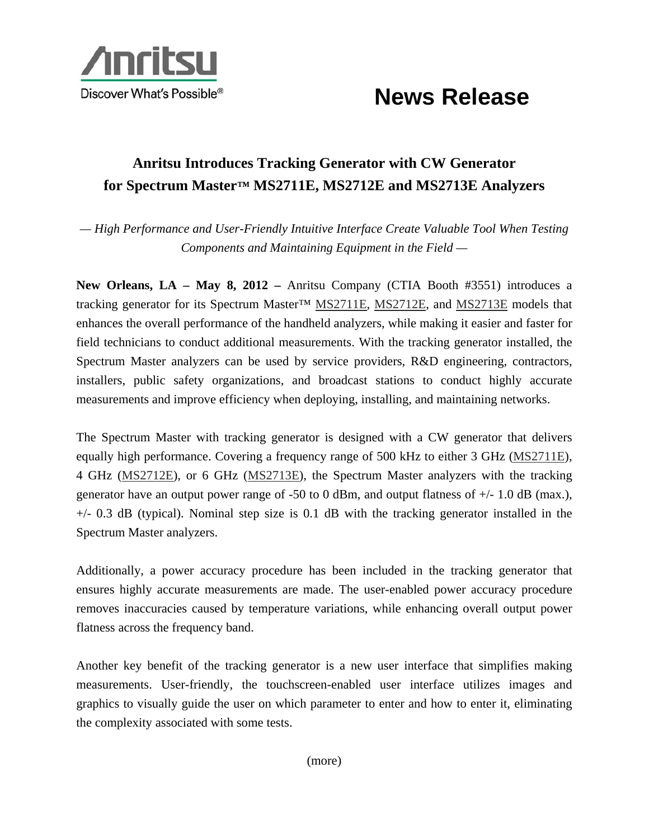

## **News Release**

## **Anritsu Introduces Tracking Generator with CW Generator for Spectrum Master™ MS2711E, MS2712E and MS2713E Analyzers**

*— High Performance and User-Friendly Intuitive Interface Create Valuable Tool When Testing Components and Maintaining Equipment in the Field —* 

**New Orleans, LA – May 8, 2012 –** Anritsu Company (CTIA Booth #3551) introduces a tracking generator for its Spectrum Master™ MS2711E, MS2712E, and MS2713E models that enhances the overall performance of the handheld analyzers, while making it easier and faster for field technicians to conduct additional measurements. With the tracking generator installed, the Spectrum Master analyzers can be used by service providers, R&D engineering, contractors, installers, public safety organizations, and broadcast stations to conduct highly accurate measurements and improve efficiency when deploying, installing, and maintaining networks.

The Spectrum Master with tracking generator is designed with a CW generator that delivers equally high performance. Covering a frequency range of 500 kHz to either 3 GHz (MS2711E), 4 GHz (MS2712E), or 6 GHz (MS2713E), the Spectrum Master analyzers with the tracking generator have an output power range of  $-50$  to 0 dBm, and output flatness of  $+/- 1.0$  dB (max.),  $+/-$  0.3 dB (typical). Nominal step size is 0.1 dB with the tracking generator installed in the Spectrum Master analyzers.

Additionally, a power accuracy procedure has been included in the tracking generator that ensures highly accurate measurements are made. The user-enabled power accuracy procedure removes inaccuracies caused by temperature variations, while enhancing overall output power flatness across the frequency band.

Another key benefit of the tracking generator is a new user interface that simplifies making measurements. User-friendly, the touchscreen-enabled user interface utilizes images and graphics to visually guide the user on which parameter to enter and how to enter it, eliminating the complexity associated with some tests.

(more)